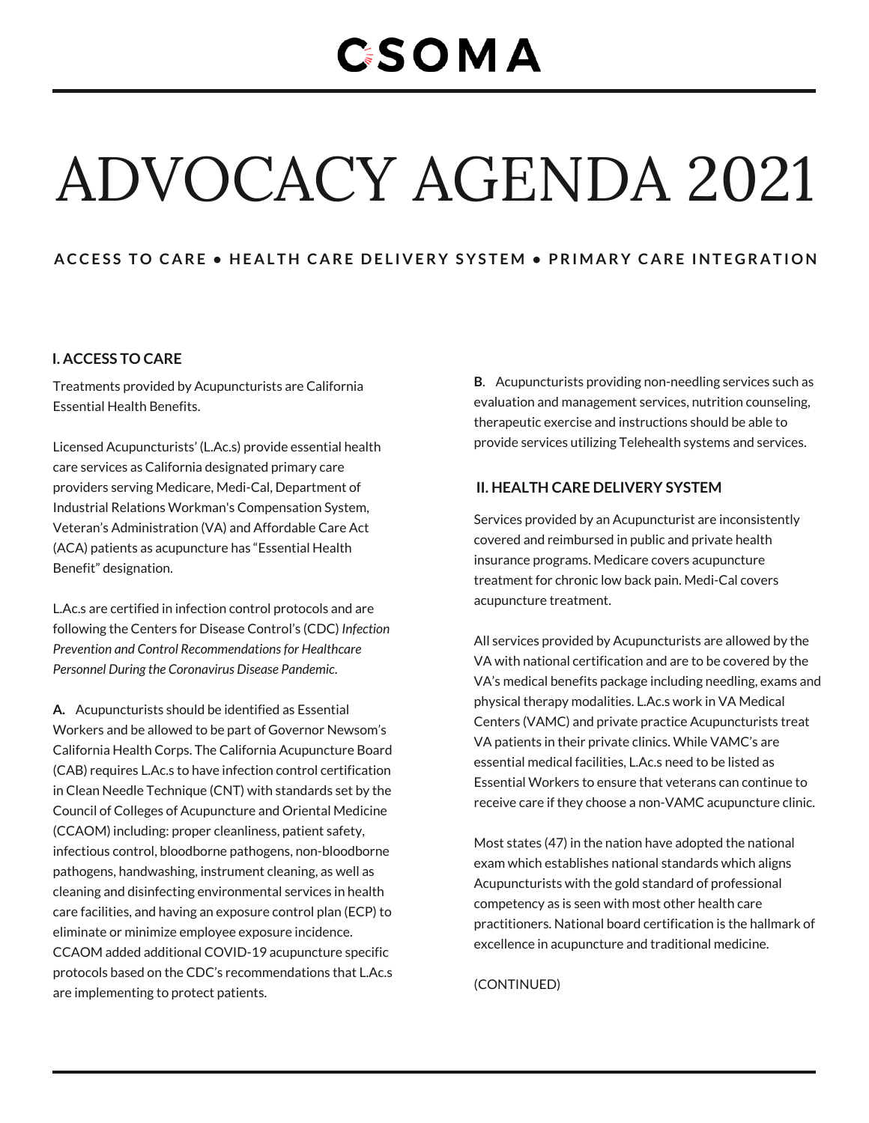### **CSOMA**

# ADVOCACY AGENDA 2021

#### ACCESS TO CARE . HEALTH CARE DELIVERY SYSTEM . PRIMARY CARE INTEGRATION

#### **I. ACCESS TO CARE**

Treatments provided by Acupuncturists are California Essential Health Benefits.

Licensed Acupuncturists' (L.Ac.s) provide essential health care services as California designated primary care providers serving Medicare, Medi-Cal, Department of Industrial Relations Workman's Compensation System, Veteran's Administration (VA) and Affordable Care Act (ACA) patients as acupuncture has "Essential Health Benefit" designation.

L.Ac.s are certified in infection control protocols and are following the Centers for Disease Control's (CDC) *Infection Prevention and Control Recommendationsfor Healthcare Personnel During the Coronavirus Disease Pandemic*.

**A.** Acupuncturists should be identified as Essential Workers and be allowed to be part of Governor Newsom's California Health Corps. The California Acupuncture Board (CAB) requires L.Ac.s to have infection control certification in Clean Needle Technique (CNT) with standards set by the Council of Colleges of Acupuncture and Oriental Medicine (CCAOM) including: proper cleanliness, patient safety, infectious control, bloodborne pathogens, non-bloodborne pathogens, handwashing, instrument cleaning, as well as cleaning and disinfecting environmental services in health care facilities, and having an exposure control plan (ECP) to eliminate or minimize employee exposure incidence. CCAOM added additional COVID-19 acupuncture specific protocols based on the CDC's recommendations that L.Ac.s are implementing to protect patients.

**B**. Acupuncturists providing non-needling services such as evaluation and management services, nutrition counseling, therapeutic exercise and instructions should be able to provide services utilizing Telehealth systems and services.

#### **II. HEALTH CARE DELIVERY SYSTEM**

Services provided by an Acupuncturist are inconsistently covered and reimbursed in public and private health insurance programs. Medicare covers acupuncture treatment for chronic low back pain. Medi-Cal covers acupuncture treatment.

All services provided by Acupuncturists are allowed by the VA with national certification and are to be covered by the VA's medical benefits package including needling, exams and physical therapy modalities. L.Ac.s work in VA Medical Centers (VAMC) and private practice Acupuncturists treat VA patients in their private clinics. While VAMC's are essential medical facilities, L.Ac.s need to be listed as Essential Workers to ensure that veterans can continue to receive care if they choose a non-VAMC acupuncture clinic.

Most states (47) in the nation have adopted the national exam which establishes national standards which aligns Acupuncturists with the gold standard of professional competency as is seen with most other health care practitioners. National board certification is the hallmark of excellence in acupuncture and traditional medicine.

(CONTINUED)